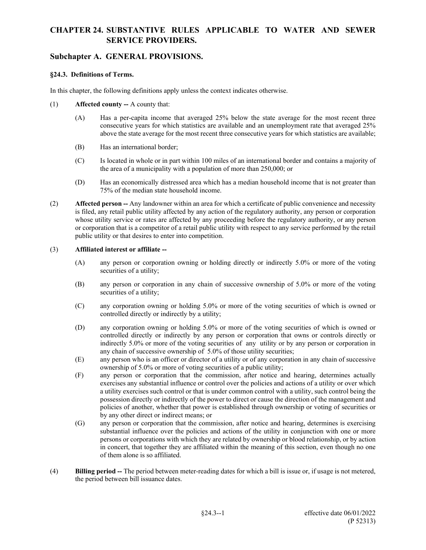### **Subchapter A. GENERAL PROVISIONS.**

#### **§24.3. Definitions of Terms.**

In this chapter, the following definitions apply unless the context indicates otherwise.

- (1) **Affected county --** A county that:
	- (A) Has a per-capita income that averaged 25% below the state average for the most recent three consecutive years for which statistics are available and an unemployment rate that averaged 25% above the state average for the most recent three consecutive years for which statistics are available;
	- (B) Has an international border;
	- (C) Is located in whole or in part within 100 miles of an international border and contains a majority of the area of a municipality with a population of more than 250,000; or
	- (D) Has an economically distressed area which has a median household income that is not greater than 75% of the median state household income.
- (2) **Affected person --** Any landowner within an area for which a certificate of public convenience and necessity is filed, any retail public utility affected by any action of the regulatory authority, any person or corporation whose utility service or rates are affected by any proceeding before the regulatory authority, or any person or corporation that is a competitor of a retail public utility with respect to any service performed by the retail public utility or that desires to enter into competition.

#### (3) **Affiliated interest or affiliate --**

- (A) any person or corporation owning or holding directly or indirectly 5.0% or more of the voting securities of a utility;
- (B) any person or corporation in any chain of successive ownership of 5.0% or more of the voting securities of a utility;
- (C) any corporation owning or holding 5.0% or more of the voting securities of which is owned or controlled directly or indirectly by a utility;
- (D) any corporation owning or holding 5.0% or more of the voting securities of which is owned or controlled directly or indirectly by any person or corporation that owns or controls directly or indirectly 5.0% or more of the voting securities of any utility or by any person or corporation in any chain of successive ownership of 5.0% of those utility securities;
- (E) any person who is an officer or director of a utility or of any corporation in any chain of successive ownership of 5.0% or more of voting securities of a public utility;
- (F) any person or corporation that the commission, after notice and hearing, determines actually exercises any substantial influence or control over the policies and actions of a utility or over which a utility exercises such control or that is under common control with a utility, such control being the possession directly or indirectly of the power to direct or cause the direction of the management and policies of another, whether that power is established through ownership or voting of securities or by any other direct or indirect means; or
- (G) any person or corporation that the commission, after notice and hearing, determines is exercising substantial influence over the policies and actions of the utility in conjunction with one or more persons or corporations with which they are related by ownership or blood relationship, or by action in concert, that together they are affiliated within the meaning of this section, even though no one of them alone is so affiliated.
- (4) **Billing period --** The period between meter-reading dates for which a bill is issue or, if usage is not metered, the period between bill issuance dates.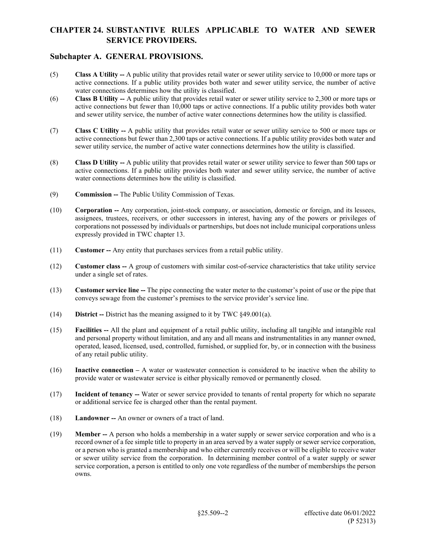### **Subchapter A. GENERAL PROVISIONS.**

- (5) **Class A Utility --** A public utility that provides retail water or sewer utility service to 10,000 or more taps or active connections. If a public utility provides both water and sewer utility service, the number of active water connections determines how the utility is classified.
- (6) **Class B Utility --** A public utility that provides retail water or sewer utility service to 2,300 or more taps or active connections but fewer than 10,000 taps or active connections. If a public utility provides both water and sewer utility service, the number of active water connections determines how the utility is classified.
- (7) **Class C Utility --** A public utility that provides retail water or sewer utility service to 500 or more taps or active connections but fewer than 2,300 taps or active connections. If a public utility provides both water and sewer utility service, the number of active water connections determines how the utility is classified.
- (8) **Class D Utility --** A public utility that provides retail water or sewer utility service to fewer than 500 taps or active connections. If a public utility provides both water and sewer utility service, the number of active water connections determines how the utility is classified.
- (9) **Commission --** The Public Utility Commission of Texas.
- (10) **Corporation --** Any corporation, joint-stock company, or association, domestic or foreign, and its lessees, assignees, trustees, receivers, or other successors in interest, having any of the powers or privileges of corporations not possessed by individuals or partnerships, but does not include municipal corporations unless expressly provided in TWC chapter 13.
- (11) **Customer --** Any entity that purchases services from a retail public utility.
- (12) **Customer class --** A group of customers with similar cost-of-service characteristics that take utility service under a single set of rates.
- (13) **Customer service line --** The pipe connecting the water meter to the customer's point of use or the pipe that conveys sewage from the customer's premises to the service provider's service line.
- (14) **District --** District has the meaning assigned to it by TWC §49.001(a).
- (15) **Facilities --** All the plant and equipment of a retail public utility, including all tangible and intangible real and personal property without limitation, and any and all means and instrumentalities in any manner owned, operated, leased, licensed, used, controlled, furnished, or supplied for, by, or in connection with the business of any retail public utility.
- (16) **Inactive connection –** A water or wastewater connection is considered to be inactive when the ability to provide water or wastewater service is either physically removed or permanently closed.
- (17) **Incident of tenancy --** Water or sewer service provided to tenants of rental property for which no separate or additional service fee is charged other than the rental payment.
- (18) **Landowner --** An owner or owners of a tract of land.
- (19) **Member --** A person who holds a membership in a water supply or sewer service corporation and who is a record owner of a fee simple title to property in an area served by a water supply or sewer service corporation, or a person who is granted a membership and who either currently receives or will be eligible to receive water or sewer utility service from the corporation. In determining member control of a water supply or sewer service corporation, a person is entitled to only one vote regardless of the number of memberships the person owns.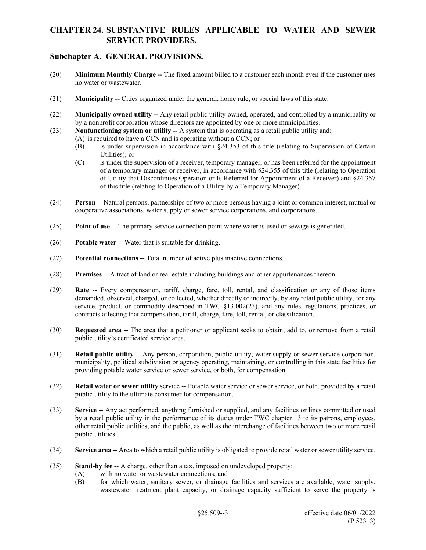### **Subchapter A. GENERAL PROVISIONS.**

- (20) **Minimum Monthly Charge --** The fixed amount billed to a customer each month even if the customer uses no water or wastewater.
- (21) **Municipality --** Cities organized under the general, home rule, or special laws of this state.
- (22) **Municipally owned utility --** Any retail public utility owned, operated, and controlled by a municipality or by a nonprofit corporation whose directors are appointed by one or more municipalities.
- (23) **Nonfunctioning system or utility --** A system that is operating as a retail public utility and:
	- (A) is required to have a CCN and is operating without a CCN; or
	- (B) is under supervision in accordance with §24.353 of this title (relating to Supervision of Certain Utilities); or
	- (C) is under the supervision of a receiver, temporary manager, or has been referred for the appointment of a temporary manager or receiver, in accordance with §24.355 of this title (relating to Operation of Utility that Discontinues Operation or Is Referred for Appointment of a Receiver) and §24.357 of this title (relating to Operation of a Utility by a Temporary Manager).
- (24) **Person** -- Natural persons, partnerships of two or more persons having a joint or common interest, mutual or cooperative associations, water supply or sewer service corporations, and corporations.
- (25) **Point of use** -- The primary service connection point where water is used or sewage is generated.
- (26) **Potable water** -- Water that is suitable for drinking.
- (27) **Potential connections** -- Total number of active plus inactive connections.
- (28) **Premises** -- A tract of land or real estate including buildings and other appurtenances thereon.
- (29) **Rate** -- Every compensation, tariff, charge, fare, toll, rental, and classification or any of those items demanded, observed, charged, or collected, whether directly or indirectly, by any retail public utility, for any service, product, or commodity described in TWC §13.002(23), and any rules, regulations, practices, or contracts affecting that compensation, tariff, charge, fare, toll, rental, or classification.
- (30) **Requested area** -- The area that a petitioner or applicant seeks to obtain, add to, or remove from a retail public utility's certificated service area.
- (31) **Retail public utility** -- Any person, corporation, public utility, water supply or sewer service corporation, municipality, political subdivision or agency operating, maintaining, or controlling in this state facilities for providing potable water service or sewer service, or both, for compensation.
- (32) **Retail water or sewer utility** service -- Potable water service or sewer service, or both, provided by a retail public utility to the ultimate consumer for compensation.
- (33) **Service** -- Any act performed, anything furnished or supplied, and any facilities or lines committed or used by a retail public utility in the performance of its duties under TWC chapter 13 to its patrons, employees, other retail public utilities, and the public, as well as the interchange of facilities between two or more retail public utilities.
- (34) **Service area** -- Area to which a retail public utility is obligated to provide retail water or sewer utility service.
- (35) **Stand-by fee** -- A charge, other than a tax, imposed on undeveloped property:
	- (A) with no water or wastewater connections; and
	- (B) for which water, sanitary sewer, or drainage facilities and services are available; water supply, wastewater treatment plant capacity, or drainage capacity sufficient to serve the property is